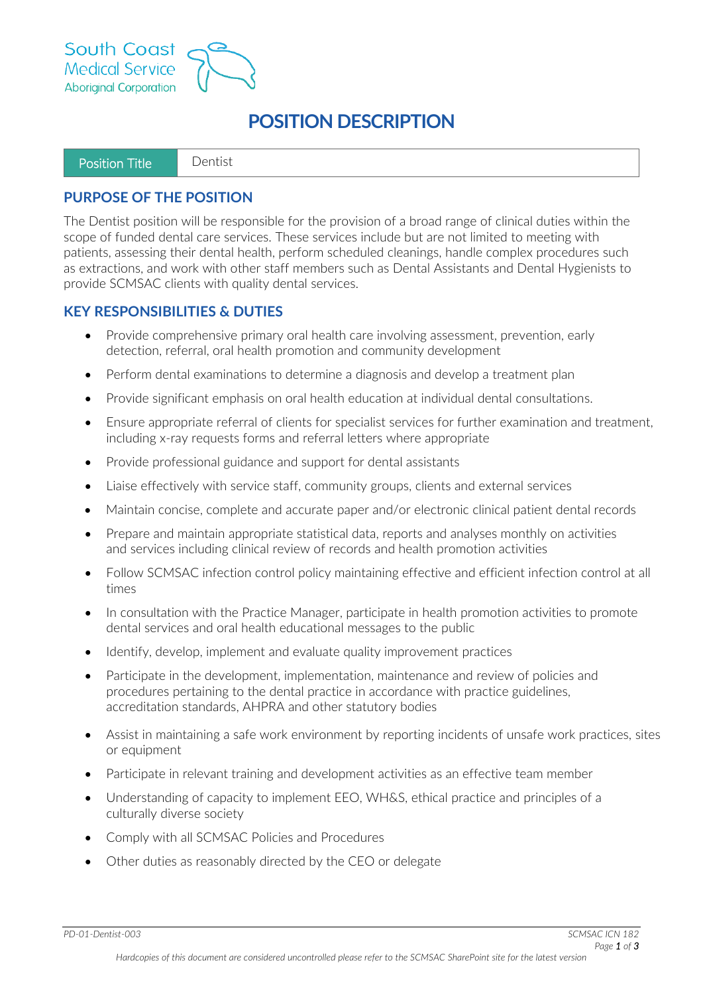



# **POSITION DESCRIPTION**

#### **PURPOSE OF THE POSITION**

The Dentist position will be responsible for the provision of a broad range of clinical duties within the scope of funded dental care services. These services include but are not limited to meeting with patients, assessing their dental health, perform scheduled cleanings, handle complex procedures such as extractions, and work with other staff members such as Dental Assistants and Dental Hygienists to provide SCMSAC clients with quality dental services.

#### **KEY RESPONSIBILITIES & DUTIES**

- Provide comprehensive primary oral health care involving assessment, prevention, early detection, referral, oral health promotion and community development
- Perform dental examinations to determine a diagnosis and develop a treatment plan
- Provide significant emphasis on oral health education at individual dental consultations.
- Ensure appropriate referral of clients for specialist services for further examination and treatment, including x-ray requests forms and referral letters where appropriate
- Provide professional guidance and support for dental assistants
- Liaise effectively with service staff, community groups, clients and external services
- Maintain concise, complete and accurate paper and/or electronic clinical patient dental records
- Prepare and maintain appropriate statistical data, reports and analyses monthly on activities and services including clinical review of records and health promotion activities
- Follow SCMSAC infection control policy maintaining effective and efficient infection control at all times
- In consultation with the Practice Manager, participate in health promotion activities to promote dental services and oral health educational messages to the public
- Identify, develop, implement and evaluate quality improvement practices
- Participate in the development, implementation, maintenance and review of policies and procedures pertaining to the dental practice in accordance with practice guidelines, accreditation standards, AHPRA and other statutory bodies
- Assist in maintaining a safe work environment by reporting incidents of unsafe work practices, sites or equipment
- Participate in relevant training and development activities as an effective team member
- Understanding of capacity to implement EEO, WH&S, ethical practice and principles of a culturally diverse society
- Comply with all SCMSAC Policies and Procedures
- Other duties as reasonably directed by the CEO or delegate

*PD-01-Dentist-003 SCMSAC ICN 182*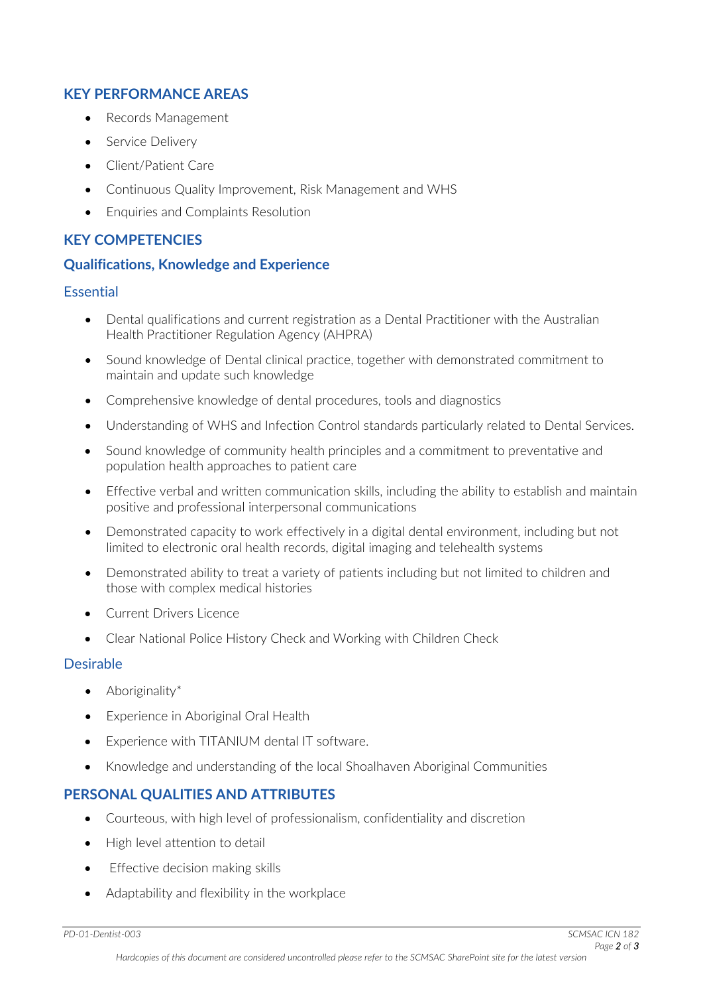## **KEY PERFORMANCE AREAS**

- Records Management
- Service Delivery
- Client/Patient Care
- Continuous Quality Improvement, Risk Management and WHS
- Enquiries and Complaints Resolution

# **KEY COMPETENCIES**

## **Qualifications, Knowledge and Experience**

#### Essential

- Dental qualifications and current registration as a Dental Practitioner with the Australian Health Practitioner Regulation Agency (AHPRA)
- Sound knowledge of Dental clinical practice, together with demonstrated commitment to maintain and update such knowledge
- Comprehensive knowledge of dental procedures, tools and diagnostics
- Understanding of WHS and Infection Control standards particularly related to Dental Services.
- Sound knowledge of community health principles and a commitment to preventative and population health approaches to patient care
- Effective verbal and written communication skills, including the ability to establish and maintain positive and professional interpersonal communications
- Demonstrated capacity to work effectively in a digital dental environment, including but not limited to electronic oral health records, digital imaging and telehealth systems
- Demonstrated ability to treat a variety of patients including but not limited to children and those with complex medical histories
- Current Drivers Licence
- Clear National Police History Check and Working with Children Check

#### Desirable

- Aboriginality\*
- Experience in Aboriginal Oral Health
- Experience with TITANIUM dental IT software.
- Knowledge and understanding of the local Shoalhaven Aboriginal Communities

# **PERSONAL QUALITIES AND ATTRIBUTES**

- Courteous, with high level of professionalism, confidentiality and discretion
- High level attention to detail
- Effective decision making skills
- Adaptability and flexibility in the workplace